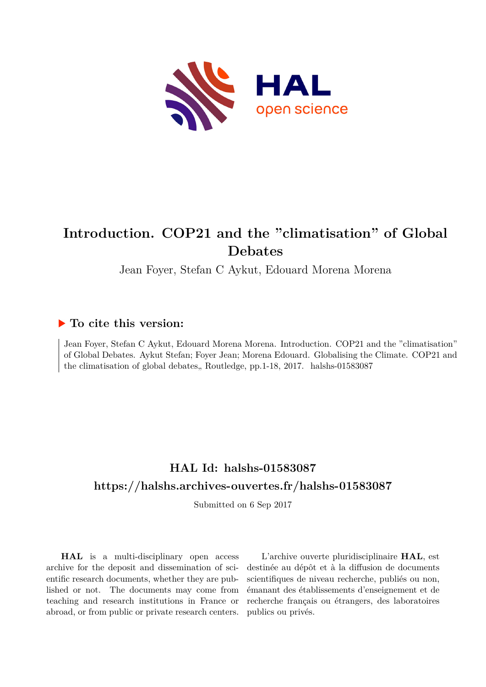

# **Introduction. COP21 and the "climatisation" of Global Debates**

Jean Foyer, Stefan C Aykut, Edouard Morena Morena

### **To cite this version:**

Jean Foyer, Stefan C Aykut, Edouard Morena Morena. Introduction. COP21 and the "climatisation" of Global Debates. Aykut Stefan; Foyer Jean; Morena Edouard. Globalising the Climate. COP21 and the climatisation of global debates, Routledge, pp.1-18, 2017. halshs-01583087

## **HAL Id: halshs-01583087 <https://halshs.archives-ouvertes.fr/halshs-01583087>**

Submitted on 6 Sep 2017

**HAL** is a multi-disciplinary open access archive for the deposit and dissemination of scientific research documents, whether they are published or not. The documents may come from teaching and research institutions in France or abroad, or from public or private research centers.

L'archive ouverte pluridisciplinaire **HAL**, est destinée au dépôt et à la diffusion de documents scientifiques de niveau recherche, publiés ou non, émanant des établissements d'enseignement et de recherche français ou étrangers, des laboratoires publics ou privés.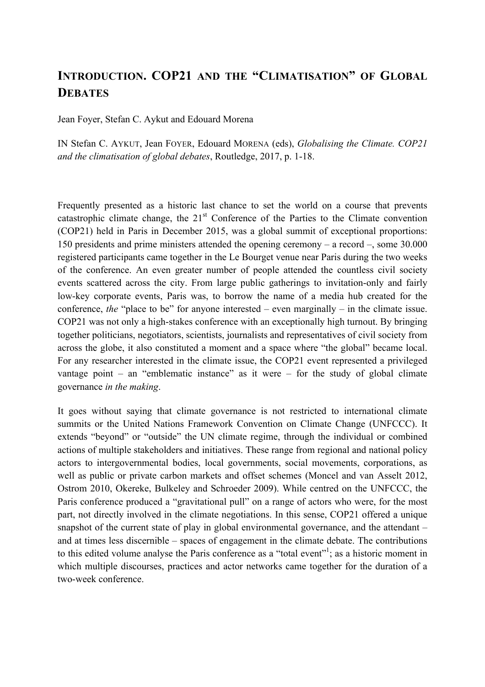### **INTRODUCTION. COP21 AND THE "CLIMATISATION" OF GLOBAL DEBATES**

Jean Foyer, Stefan C. Aykut and Edouard Morena

IN Stefan C. AYKUT, Jean FOYER, Edouard MORENA (eds), *Globalising the Climate. COP21 and the climatisation of global debates*, Routledge, 2017, p. 1-18.

Frequently presented as a historic last chance to set the world on a course that prevents catastrophic climate change, the  $21<sup>st</sup>$  Conference of the Parties to the Climate convention (COP21) held in Paris in December 2015, was a global summit of exceptional proportions: 150 presidents and prime ministers attended the opening ceremony – a record –, some 30.000 registered participants came together in the Le Bourget venue near Paris during the two weeks of the conference. An even greater number of people attended the countless civil society events scattered across the city. From large public gatherings to invitation-only and fairly low-key corporate events, Paris was, to borrow the name of a media hub created for the conference, *the* "place to be" for anyone interested – even marginally – in the climate issue. COP21 was not only a high-stakes conference with an exceptionally high turnout. By bringing together politicians, negotiators, scientists, journalists and representatives of civil society from across the globe, it also constituted a moment and a space where "the global" became local. For any researcher interested in the climate issue, the COP21 event represented a privileged vantage point – an "emblematic instance" as it were – for the study of global climate governance *in the making*.

It goes without saying that climate governance is not restricted to international climate summits or the United Nations Framework Convention on Climate Change (UNFCCC). It extends "beyond" or "outside" the UN climate regime, through the individual or combined actions of multiple stakeholders and initiatives. These range from regional and national policy actors to intergovernmental bodies, local governments, social movements, corporations, as well as public or private carbon markets and offset schemes (Moncel and van Asselt 2012, Ostrom 2010, Okereke, Bulkeley and Schroeder 2009). While centred on the UNFCCC, the Paris conference produced a "gravitational pull" on a range of actors who were, for the most part, not directly involved in the climate negotiations. In this sense, COP21 offered a unique snapshot of the current state of play in global environmental governance, and the attendant – and at times less discernible – spaces of engagement in the climate debate. The contributions to this edited volume analyse the Paris conference as a "total event"  $\cdot$ ; as a historic moment in which multiple discourses, practices and actor networks came together for the duration of a two-week conference.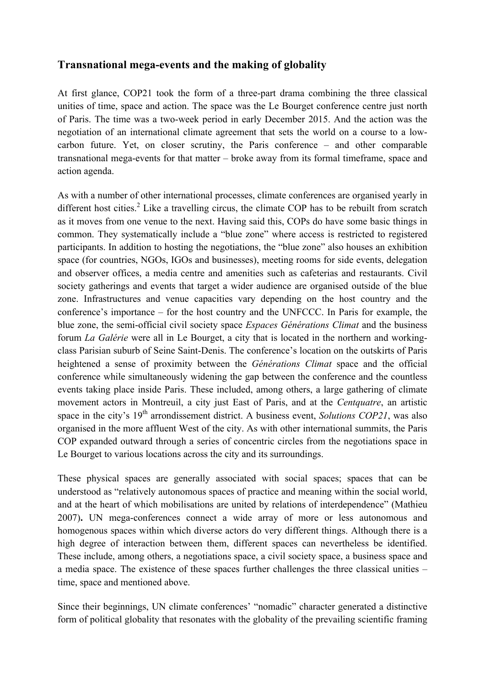#### **Transnational mega-events and the making of globality**

At first glance, COP21 took the form of a three-part drama combining the three classical unities of time, space and action. The space was the Le Bourget conference centre just north of Paris. The time was a two-week period in early December 2015. And the action was the negotiation of an international climate agreement that sets the world on a course to a lowcarbon future. Yet, on closer scrutiny, the Paris conference – and other comparable transnational mega-events for that matter – broke away from its formal timeframe, space and action agenda.

As with a number of other international processes, climate conferences are organised yearly in different host cities.<sup>2</sup> Like a travelling circus, the climate COP has to be rebuilt from scratch as it moves from one venue to the next. Having said this, COPs do have some basic things in common. They systematically include a "blue zone" where access is restricted to registered participants. In addition to hosting the negotiations, the "blue zone" also houses an exhibition space (for countries, NGOs, IGOs and businesses), meeting rooms for side events, delegation and observer offices, a media centre and amenities such as cafeterias and restaurants. Civil society gatherings and events that target a wider audience are organised outside of the blue zone. Infrastructures and venue capacities vary depending on the host country and the conference's importance – for the host country and the UNFCCC. In Paris for example, the blue zone, the semi-official civil society space *Espaces Générations Climat* and the business forum *La Galérie* were all in Le Bourget, a city that is located in the northern and workingclass Parisian suburb of Seine Saint-Denis. The conference's location on the outskirts of Paris heightened a sense of proximity between the *Générations Climat* space and the official conference while simultaneously widening the gap between the conference and the countless events taking place inside Paris. These included, among others, a large gathering of climate movement actors in Montreuil, a city just East of Paris, and at the *Centquatre*, an artistic space in the city's 19<sup>th</sup> arrondissement district. A business event, *Solutions COP21*, was also organised in the more affluent West of the city. As with other international summits, the Paris COP expanded outward through a series of concentric circles from the negotiations space in Le Bourget to various locations across the city and its surroundings.

These physical spaces are generally associated with social spaces; spaces that can be understood as "relatively autonomous spaces of practice and meaning within the social world, and at the heart of which mobilisations are united by relations of interdependence" (Mathieu 2007)**.** UN mega-conferences connect a wide array of more or less autonomous and homogenous spaces within which diverse actors do very different things. Although there is a high degree of interaction between them, different spaces can nevertheless be identified. These include, among others, a negotiations space, a civil society space, a business space and a media space. The existence of these spaces further challenges the three classical unities – time, space and mentioned above.

Since their beginnings, UN climate conferences' "nomadic" character generated a distinctive form of political globality that resonates with the globality of the prevailing scientific framing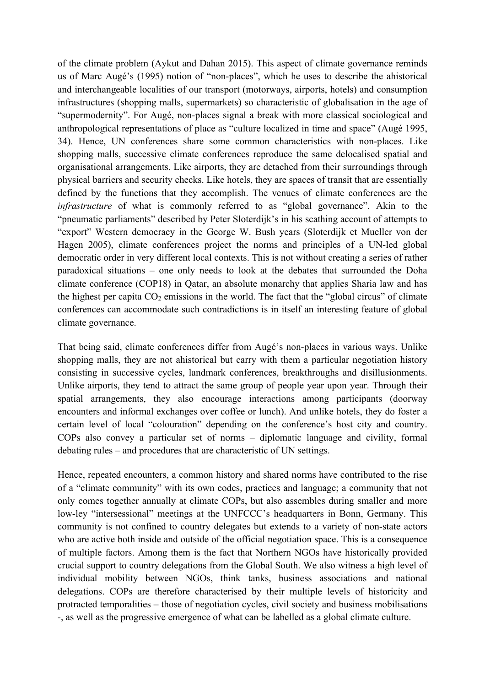of the climate problem (Aykut and Dahan 2015). This aspect of climate governance reminds us of Marc Augé's (1995) notion of "non-places", which he uses to describe the ahistorical and interchangeable localities of our transport (motorways, airports, hotels) and consumption infrastructures (shopping malls, supermarkets) so characteristic of globalisation in the age of "supermodernity". For Augé, non-places signal a break with more classical sociological and anthropological representations of place as "culture localized in time and space" (Augé 1995, 34). Hence, UN conferences share some common characteristics with non-places. Like shopping malls, successive climate conferences reproduce the same delocalised spatial and organisational arrangements. Like airports, they are detached from their surroundings through physical barriers and security checks. Like hotels, they are spaces of transit that are essentially defined by the functions that they accomplish. The venues of climate conferences are the *infrastructure* of what is commonly referred to as "global governance". Akin to the "pneumatic parliaments" described by Peter Sloterdijk's in his scathing account of attempts to "export" Western democracy in the George W. Bush years (Sloterdijk et Mueller von der Hagen 2005), climate conferences project the norms and principles of a UN-led global democratic order in very different local contexts. This is not without creating a series of rather paradoxical situations – one only needs to look at the debates that surrounded the Doha climate conference (COP18) in Qatar, an absolute monarchy that applies Sharia law and has the highest per capita  $CO_2$  emissions in the world. The fact that the "global circus" of climate conferences can accommodate such contradictions is in itself an interesting feature of global climate governance.

That being said, climate conferences differ from Augé's non-places in various ways. Unlike shopping malls, they are not ahistorical but carry with them a particular negotiation history consisting in successive cycles, landmark conferences, breakthroughs and disillusionments. Unlike airports, they tend to attract the same group of people year upon year. Through their spatial arrangements, they also encourage interactions among participants (doorway encounters and informal exchanges over coffee or lunch). And unlike hotels, they do foster a certain level of local "colouration" depending on the conference's host city and country. COPs also convey a particular set of norms – diplomatic language and civility, formal debating rules – and procedures that are characteristic of UN settings.

Hence, repeated encounters, a common history and shared norms have contributed to the rise of a "climate community" with its own codes, practices and language; a community that not only comes together annually at climate COPs, but also assembles during smaller and more low-ley "intersessional" meetings at the UNFCCC's headquarters in Bonn, Germany. This community is not confined to country delegates but extends to a variety of non-state actors who are active both inside and outside of the official negotiation space. This is a consequence of multiple factors. Among them is the fact that Northern NGOs have historically provided crucial support to country delegations from the Global South. We also witness a high level of individual mobility between NGOs, think tanks, business associations and national delegations. COPs are therefore characterised by their multiple levels of historicity and protracted temporalities – those of negotiation cycles, civil society and business mobilisations -, as well as the progressive emergence of what can be labelled as a global climate culture.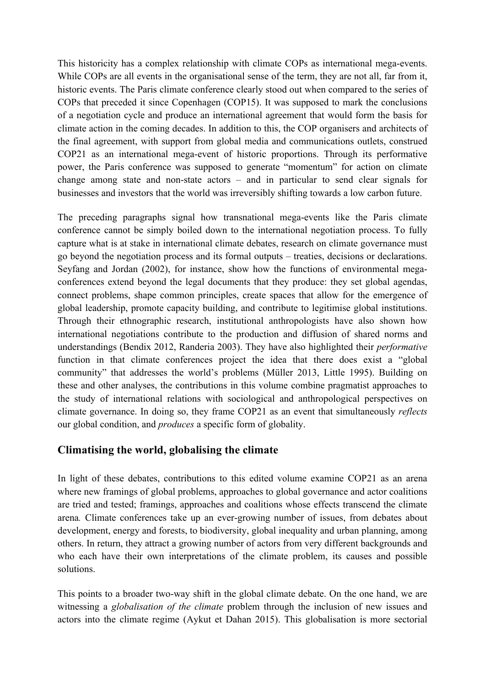This historicity has a complex relationship with climate COPs as international mega-events. While COPs are all events in the organisational sense of the term, they are not all, far from it, historic events. The Paris climate conference clearly stood out when compared to the series of COPs that preceded it since Copenhagen (COP15). It was supposed to mark the conclusions of a negotiation cycle and produce an international agreement that would form the basis for climate action in the coming decades. In addition to this, the COP organisers and architects of the final agreement, with support from global media and communications outlets, construed COP21 as an international mega-event of historic proportions. Through its performative power, the Paris conference was supposed to generate "momentum" for action on climate change among state and non-state actors – and in particular to send clear signals for businesses and investors that the world was irreversibly shifting towards a low carbon future.

The preceding paragraphs signal how transnational mega-events like the Paris climate conference cannot be simply boiled down to the international negotiation process. To fully capture what is at stake in international climate debates, research on climate governance must go beyond the negotiation process and its formal outputs – treaties, decisions or declarations. Seyfang and Jordan (2002), for instance, show how the functions of environmental megaconferences extend beyond the legal documents that they produce: they set global agendas, connect problems, shape common principles, create spaces that allow for the emergence of global leadership, promote capacity building, and contribute to legitimise global institutions. Through their ethnographic research, institutional anthropologists have also shown how international negotiations contribute to the production and diffusion of shared norms and understandings (Bendix 2012, Randeria 2003). They have also highlighted their *performative* function in that climate conferences project the idea that there does exist a "global community" that addresses the world's problems (Müller 2013, Little 1995). Building on these and other analyses, the contributions in this volume combine pragmatist approaches to the study of international relations with sociological and anthropological perspectives on climate governance. In doing so, they frame COP21 as an event that simultaneously *reflects* our global condition, and *produces* a specific form of globality.

#### **Climatising the world, globalising the climate**

In light of these debates, contributions to this edited volume examine COP21 as an arena where new framings of global problems, approaches to global governance and actor coalitions are tried and tested; framings, approaches and coalitions whose effects transcend the climate arena*.* Climate conferences take up an ever-growing number of issues, from debates about development, energy and forests, to biodiversity, global inequality and urban planning, among others. In return, they attract a growing number of actors from very different backgrounds and who each have their own interpretations of the climate problem, its causes and possible solutions.

This points to a broader two-way shift in the global climate debate. On the one hand, we are witnessing a *globalisation of the climate* problem through the inclusion of new issues and actors into the climate regime (Aykut et Dahan 2015). This globalisation is more sectorial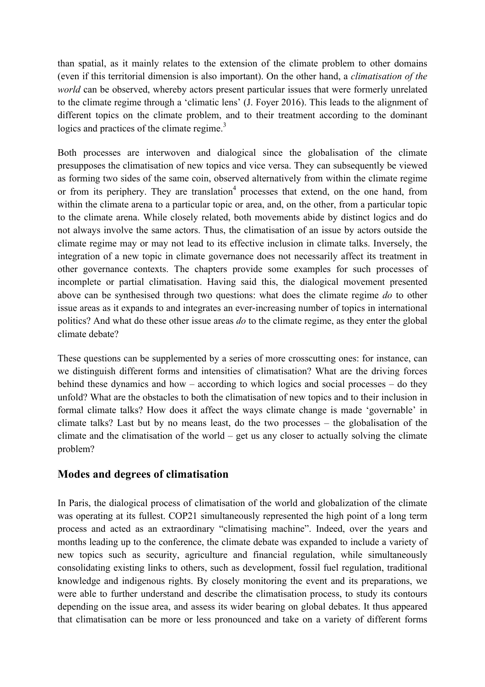than spatial, as it mainly relates to the extension of the climate problem to other domains (even if this territorial dimension is also important). On the other hand, a *climatisation of the world* can be observed, whereby actors present particular issues that were formerly unrelated to the climate regime through a 'climatic lens' (J. Foyer 2016). This leads to the alignment of different topics on the climate problem, and to their treatment according to the dominant logics and practices of the climate regime. $3$ 

Both processes are interwoven and dialogical since the globalisation of the climate presupposes the climatisation of new topics and vice versa. They can subsequently be viewed as forming two sides of the same coin, observed alternatively from within the climate regime or from its periphery. They are translation<sup>4</sup> processes that extend, on the one hand, from within the climate arena to a particular topic or area, and, on the other, from a particular topic to the climate arena. While closely related, both movements abide by distinct logics and do not always involve the same actors. Thus, the climatisation of an issue by actors outside the climate regime may or may not lead to its effective inclusion in climate talks. Inversely, the integration of a new topic in climate governance does not necessarily affect its treatment in other governance contexts. The chapters provide some examples for such processes of incomplete or partial climatisation. Having said this, the dialogical movement presented above can be synthesised through two questions: what does the climate regime *do* to other issue areas as it expands to and integrates an ever-increasing number of topics in international politics? And what do these other issue areas *do* to the climate regime, as they enter the global climate debate?

These questions can be supplemented by a series of more crosscutting ones: for instance, can we distinguish different forms and intensities of climatisation? What are the driving forces behind these dynamics and how – according to which logics and social processes – do they unfold? What are the obstacles to both the climatisation of new topics and to their inclusion in formal climate talks? How does it affect the ways climate change is made 'governable' in climate talks? Last but by no means least, do the two processes – the globalisation of the climate and the climatisation of the world – get us any closer to actually solving the climate problem?

#### **Modes and degrees of climatisation**

In Paris, the dialogical process of climatisation of the world and globalization of the climate was operating at its fullest. COP21 simultaneously represented the high point of a long term process and acted as an extraordinary "climatising machine". Indeed, over the years and months leading up to the conference, the climate debate was expanded to include a variety of new topics such as security, agriculture and financial regulation, while simultaneously consolidating existing links to others, such as development, fossil fuel regulation, traditional knowledge and indigenous rights. By closely monitoring the event and its preparations, we were able to further understand and describe the climatisation process, to study its contours depending on the issue area, and assess its wider bearing on global debates. It thus appeared that climatisation can be more or less pronounced and take on a variety of different forms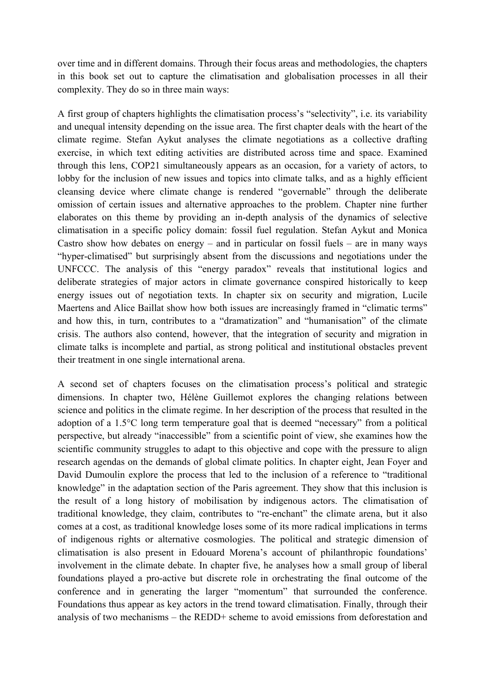over time and in different domains. Through their focus areas and methodologies, the chapters in this book set out to capture the climatisation and globalisation processes in all their complexity. They do so in three main ways:

A first group of chapters highlights the climatisation process's "selectivity", i.e. its variability and unequal intensity depending on the issue area. The first chapter deals with the heart of the climate regime. Stefan Aykut analyses the climate negotiations as a collective drafting exercise, in which text editing activities are distributed across time and space. Examined through this lens, COP21 simultaneously appears as an occasion, for a variety of actors, to lobby for the inclusion of new issues and topics into climate talks, and as a highly efficient cleansing device where climate change is rendered "governable" through the deliberate omission of certain issues and alternative approaches to the problem. Chapter nine further elaborates on this theme by providing an in-depth analysis of the dynamics of selective climatisation in a specific policy domain: fossil fuel regulation. Stefan Aykut and Monica Castro show how debates on energy – and in particular on fossil fuels – are in many ways "hyper-climatised" but surprisingly absent from the discussions and negotiations under the UNFCCC. The analysis of this "energy paradox" reveals that institutional logics and deliberate strategies of major actors in climate governance conspired historically to keep energy issues out of negotiation texts. In chapter six on security and migration, Lucile Maertens and Alice Baillat show how both issues are increasingly framed in "climatic terms" and how this, in turn, contributes to a "dramatization" and "humanisation" of the climate crisis. The authors also contend, however, that the integration of security and migration in climate talks is incomplete and partial, as strong political and institutional obstacles prevent their treatment in one single international arena.

A second set of chapters focuses on the climatisation process's political and strategic dimensions. In chapter two, Hélène Guillemot explores the changing relations between science and politics in the climate regime. In her description of the process that resulted in the adoption of a 1.5°C long term temperature goal that is deemed "necessary" from a political perspective, but already "inaccessible" from a scientific point of view, she examines how the scientific community struggles to adapt to this objective and cope with the pressure to align research agendas on the demands of global climate politics. In chapter eight, Jean Foyer and David Dumoulin explore the process that led to the inclusion of a reference to "traditional knowledge" in the adaptation section of the Paris agreement. They show that this inclusion is the result of a long history of mobilisation by indigenous actors. The climatisation of traditional knowledge, they claim, contributes to "re-enchant" the climate arena, but it also comes at a cost, as traditional knowledge loses some of its more radical implications in terms of indigenous rights or alternative cosmologies. The political and strategic dimension of climatisation is also present in Edouard Morena's account of philanthropic foundations' involvement in the climate debate. In chapter five, he analyses how a small group of liberal foundations played a pro-active but discrete role in orchestrating the final outcome of the conference and in generating the larger "momentum" that surrounded the conference. Foundations thus appear as key actors in the trend toward climatisation. Finally, through their analysis of two mechanisms – the REDD+ scheme to avoid emissions from deforestation and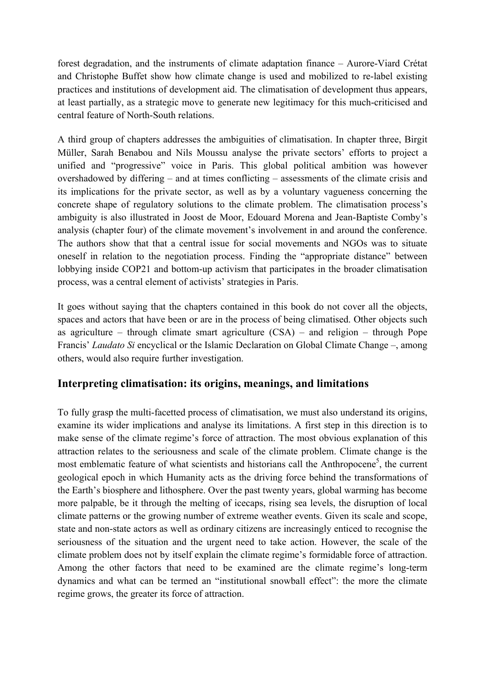forest degradation, and the instruments of climate adaptation finance – Aurore-Viard Crétat and Christophe Buffet show how climate change is used and mobilized to re-label existing practices and institutions of development aid. The climatisation of development thus appears, at least partially, as a strategic move to generate new legitimacy for this much-criticised and central feature of North-South relations.

A third group of chapters addresses the ambiguities of climatisation. In chapter three, Birgit Müller, Sarah Benabou and Nils Moussu analyse the private sectors' efforts to project a unified and "progressive" voice in Paris. This global political ambition was however overshadowed by differing – and at times conflicting – assessments of the climate crisis and its implications for the private sector, as well as by a voluntary vagueness concerning the concrete shape of regulatory solutions to the climate problem. The climatisation process's ambiguity is also illustrated in Joost de Moor, Edouard Morena and Jean-Baptiste Comby's analysis (chapter four) of the climate movement's involvement in and around the conference. The authors show that that a central issue for social movements and NGOs was to situate oneself in relation to the negotiation process. Finding the "appropriate distance" between lobbying inside COP21 and bottom-up activism that participates in the broader climatisation process, was a central element of activists' strategies in Paris.

It goes without saying that the chapters contained in this book do not cover all the objects, spaces and actors that have been or are in the process of being climatised. Other objects such as agriculture – through climate smart agriculture (CSA) – and religion – through Pope Francis' *Laudato Si* encyclical or the Islamic Declaration on Global Climate Change –, among others, would also require further investigation.

#### **Interpreting climatisation: its origins, meanings, and limitations**

To fully grasp the multi-facetted process of climatisation, we must also understand its origins, examine its wider implications and analyse its limitations. A first step in this direction is to make sense of the climate regime's force of attraction. The most obvious explanation of this attraction relates to the seriousness and scale of the climate problem. Climate change is the most emblematic feature of what scientists and historians call the Anthropocene<sup>5</sup>, the current geological epoch in which Humanity acts as the driving force behind the transformations of the Earth's biosphere and lithosphere. Over the past twenty years, global warming has become more palpable, be it through the melting of icecaps, rising sea levels, the disruption of local climate patterns or the growing number of extreme weather events. Given its scale and scope, state and non-state actors as well as ordinary citizens are increasingly enticed to recognise the seriousness of the situation and the urgent need to take action. However, the scale of the climate problem does not by itself explain the climate regime's formidable force of attraction. Among the other factors that need to be examined are the climate regime's long-term dynamics and what can be termed an "institutional snowball effect": the more the climate regime grows, the greater its force of attraction.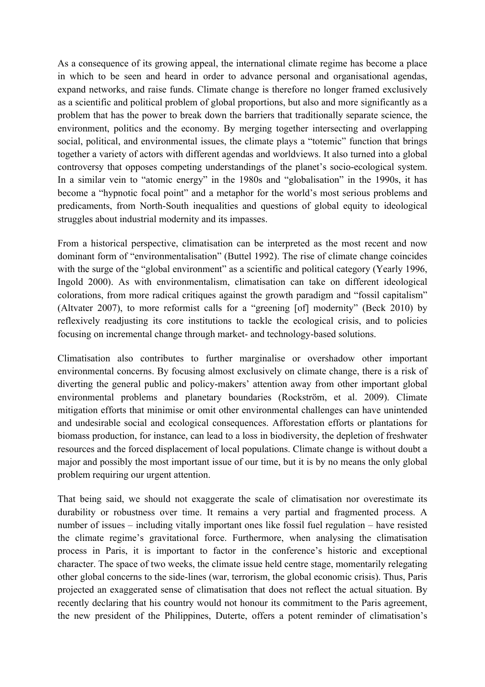As a consequence of its growing appeal, the international climate regime has become a place in which to be seen and heard in order to advance personal and organisational agendas, expand networks, and raise funds. Climate change is therefore no longer framed exclusively as a scientific and political problem of global proportions, but also and more significantly as a problem that has the power to break down the barriers that traditionally separate science, the environment, politics and the economy. By merging together intersecting and overlapping social, political, and environmental issues, the climate plays a "totemic" function that brings together a variety of actors with different agendas and worldviews. It also turned into a global controversy that opposes competing understandings of the planet's socio-ecological system. In a similar vein to "atomic energy" in the 1980s and "globalisation" in the 1990s, it has become a "hypnotic focal point" and a metaphor for the world's most serious problems and predicaments, from North-South inequalities and questions of global equity to ideological struggles about industrial modernity and its impasses.

From a historical perspective, climatisation can be interpreted as the most recent and now dominant form of "environmentalisation" (Buttel 1992). The rise of climate change coincides with the surge of the "global environment" as a scientific and political category (Yearly 1996, Ingold 2000). As with environmentalism, climatisation can take on different ideological colorations, from more radical critiques against the growth paradigm and "fossil capitalism" (Altvater 2007), to more reformist calls for a "greening [of] modernity" (Beck 2010) by reflexively readjusting its core institutions to tackle the ecological crisis, and to policies focusing on incremental change through market- and technology-based solutions.

Climatisation also contributes to further marginalise or overshadow other important environmental concerns. By focusing almost exclusively on climate change, there is a risk of diverting the general public and policy-makers' attention away from other important global environmental problems and planetary boundaries (Rockström, et al. 2009). Climate mitigation efforts that minimise or omit other environmental challenges can have unintended and undesirable social and ecological consequences. Afforestation efforts or plantations for biomass production, for instance, can lead to a loss in biodiversity, the depletion of freshwater resources and the forced displacement of local populations. Climate change is without doubt a major and possibly the most important issue of our time, but it is by no means the only global problem requiring our urgent attention.

That being said, we should not exaggerate the scale of climatisation nor overestimate its durability or robustness over time. It remains a very partial and fragmented process. A number of issues – including vitally important ones like fossil fuel regulation – have resisted the climate regime's gravitational force. Furthermore, when analysing the climatisation process in Paris, it is important to factor in the conference's historic and exceptional character. The space of two weeks, the climate issue held centre stage, momentarily relegating other global concerns to the side-lines (war, terrorism, the global economic crisis). Thus, Paris projected an exaggerated sense of climatisation that does not reflect the actual situation. By recently declaring that his country would not honour its commitment to the Paris agreement, the new president of the Philippines, Duterte, offers a potent reminder of climatisation's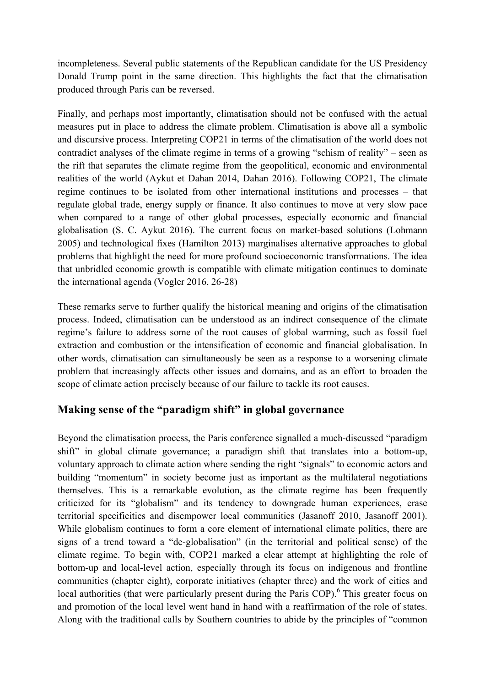incompleteness. Several public statements of the Republican candidate for the US Presidency Donald Trump point in the same direction. This highlights the fact that the climatisation produced through Paris can be reversed.

Finally, and perhaps most importantly, climatisation should not be confused with the actual measures put in place to address the climate problem. Climatisation is above all a symbolic and discursive process. Interpreting COP21 in terms of the climatisation of the world does not contradict analyses of the climate regime in terms of a growing "schism of reality" – seen as the rift that separates the climate regime from the geopolitical, economic and environmental realities of the world (Aykut et Dahan 2014, Dahan 2016). Following COP21, The climate regime continues to be isolated from other international institutions and processes – that regulate global trade, energy supply or finance. It also continues to move at very slow pace when compared to a range of other global processes, especially economic and financial globalisation (S. C. Aykut 2016). The current focus on market-based solutions (Lohmann 2005) and technological fixes (Hamilton 2013) marginalises alternative approaches to global problems that highlight the need for more profound socioeconomic transformations. The idea that unbridled economic growth is compatible with climate mitigation continues to dominate the international agenda (Vogler 2016, 26-28)

These remarks serve to further qualify the historical meaning and origins of the climatisation process. Indeed, climatisation can be understood as an indirect consequence of the climate regime's failure to address some of the root causes of global warming, such as fossil fuel extraction and combustion or the intensification of economic and financial globalisation. In other words, climatisation can simultaneously be seen as a response to a worsening climate problem that increasingly affects other issues and domains, and as an effort to broaden the scope of climate action precisely because of our failure to tackle its root causes.

#### **Making sense of the "paradigm shift" in global governance**

Beyond the climatisation process, the Paris conference signalled a much-discussed "paradigm shift" in global climate governance; a paradigm shift that translates into a bottom-up, voluntary approach to climate action where sending the right "signals" to economic actors and building "momentum" in society become just as important as the multilateral negotiations themselves. This is a remarkable evolution, as the climate regime has been frequently criticized for its "globalism" and its tendency to downgrade human experiences, erase territorial specificities and disempower local communities (Jasanoff 2010, Jasanoff 2001). While globalism continues to form a core element of international climate politics, there are signs of a trend toward a "de-globalisation" (in the territorial and political sense) of the climate regime. To begin with, COP21 marked a clear attempt at highlighting the role of bottom-up and local-level action, especially through its focus on indigenous and frontline communities (chapter eight), corporate initiatives (chapter three) and the work of cities and local authorities (that were particularly present during the Paris COP).<sup>6</sup> This greater focus on and promotion of the local level went hand in hand with a reaffirmation of the role of states. Along with the traditional calls by Southern countries to abide by the principles of "common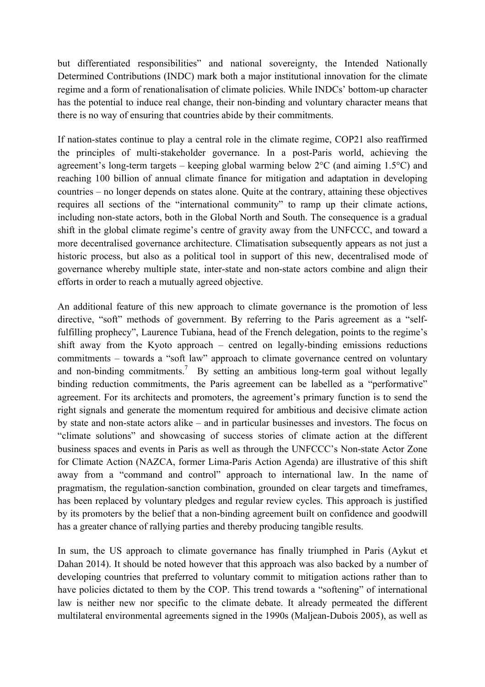but differentiated responsibilities" and national sovereignty, the Intended Nationally Determined Contributions (INDC) mark both a major institutional innovation for the climate regime and a form of renationalisation of climate policies. While INDCs' bottom-up character has the potential to induce real change, their non-binding and voluntary character means that there is no way of ensuring that countries abide by their commitments.

If nation-states continue to play a central role in the climate regime, COP21 also reaffirmed the principles of multi-stakeholder governance. In a post-Paris world, achieving the agreement's long-term targets – keeping global warming below 2°C (and aiming 1.5°C) and reaching 100 billion of annual climate finance for mitigation and adaptation in developing countries – no longer depends on states alone. Quite at the contrary, attaining these objectives requires all sections of the "international community" to ramp up their climate actions, including non-state actors, both in the Global North and South. The consequence is a gradual shift in the global climate regime's centre of gravity away from the UNFCCC, and toward a more decentralised governance architecture. Climatisation subsequently appears as not just a historic process, but also as a political tool in support of this new, decentralised mode of governance whereby multiple state, inter-state and non-state actors combine and align their efforts in order to reach a mutually agreed objective.

An additional feature of this new approach to climate governance is the promotion of less directive, "soft" methods of government. By referring to the Paris agreement as a "selffulfilling prophecy", Laurence Tubiana, head of the French delegation, points to the regime's shift away from the Kyoto approach – centred on legally-binding emissions reductions commitments – towards a "soft law" approach to climate governance centred on voluntary and non-binding commitments.<sup>7</sup> By setting an ambitious long-term goal without legally binding reduction commitments, the Paris agreement can be labelled as a "performative" agreement. For its architects and promoters, the agreement's primary function is to send the right signals and generate the momentum required for ambitious and decisive climate action by state and non-state actors alike – and in particular businesses and investors. The focus on "climate solutions" and showcasing of success stories of climate action at the different business spaces and events in Paris as well as through the UNFCCC's Non-state Actor Zone for Climate Action (NAZCA, former Lima-Paris Action Agenda) are illustrative of this shift away from a "command and control" approach to international law. In the name of pragmatism, the regulation-sanction combination, grounded on clear targets and timeframes, has been replaced by voluntary pledges and regular review cycles. This approach is justified by its promoters by the belief that a non-binding agreement built on confidence and goodwill has a greater chance of rallying parties and thereby producing tangible results.

In sum, the US approach to climate governance has finally triumphed in Paris (Aykut et Dahan 2014). It should be noted however that this approach was also backed by a number of developing countries that preferred to voluntary commit to mitigation actions rather than to have policies dictated to them by the COP. This trend towards a "softening" of international law is neither new nor specific to the climate debate. It already permeated the different multilateral environmental agreements signed in the 1990s (Maljean-Dubois 2005), as well as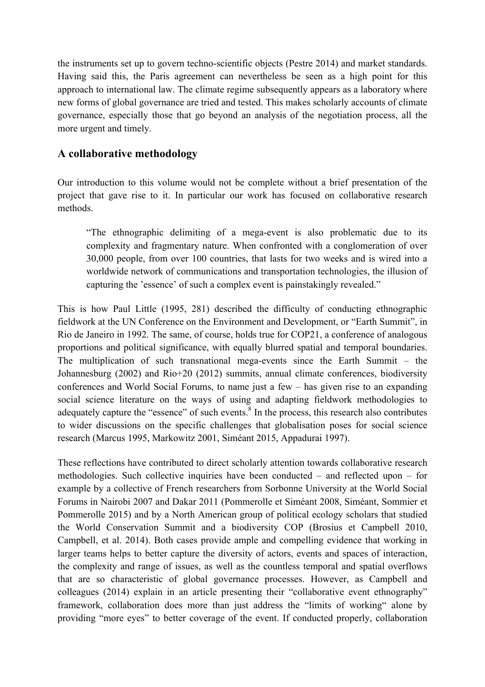the instruments set up to govern techno-scientific objects (Pestre 2014) and market standards. Having said this, the Paris agreement can nevertheless be seen as a high point for this approach to international law. The climate regime subsequently appears as a laboratory where new forms of global governance are tried and tested. This makes scholarly accounts of climate governance, especially those that go beyond an analysis of the negotiation process, all the more urgent and timely.

#### **A collaborative methodology**

Our introduction to this volume would not be complete without a brief presentation of the project that gave rise to it. In particular our work has focused on collaborative research methods.

"The ethnographic delimiting of a mega-event is also problematic due to its complexity and fragmentary nature. When confronted with a conglomeration of over 30,000 people, from over 100 countries, that lasts for two weeks and is wired into a worldwide network of communications and transportation technologies, the illusion of capturing the 'essence' of such a complex event is painstakingly revealed."

This is how Paul Little (1995, 281) described the difficulty of conducting ethnographic fieldwork at the UN Conference on the Environment and Development, or "Earth Summit", in Rio de Janeiro in 1992. The same, of course, holds true for COP21, a conference of analogous proportions and political significance, with equally blurred spatial and temporal boundaries. The multiplication of such transnational mega-events since the Earth Summit – the Johannesburg (2002) and Rio+20 (2012) summits, annual climate conferences, biodiversity conferences and World Social Forums, to name just a few – has given rise to an expanding social science literature on the ways of using and adapting fieldwork methodologies to adequately capture the "essence" of such events.<sup>8</sup> In the process, this research also contributes to wider discussions on the specific challenges that globalisation poses for social science research (Marcus 1995, Markowitz 2001, Siméant 2015, Appadurai 1997).

These reflections have contributed to direct scholarly attention towards collaborative research methodologies. Such collective inquiries have been conducted – and reflected upon – for example by a collective of French researchers from Sorbonne University at the World Social Forums in Nairobi 2007 and Dakar 2011 (Pommerolle et Siméant 2008, Siméant, Sommier et Pommerolle 2015) and by a North American group of political ecology scholars that studied the World Conservation Summit and a biodiversity COP (Brosius et Campbell 2010, Campbell, et al. 2014). Both cases provide ample and compelling evidence that working in larger teams helps to better capture the diversity of actors, events and spaces of interaction, the complexity and range of issues, as well as the countless temporal and spatial overflows that are so characteristic of global governance processes. However, as Campbell and colleagues (2014) explain in an article presenting their "collaborative event ethnography" framework, collaboration does more than just address the "limits of working" alone by providing "more eyes" to better coverage of the event. If conducted properly, collaboration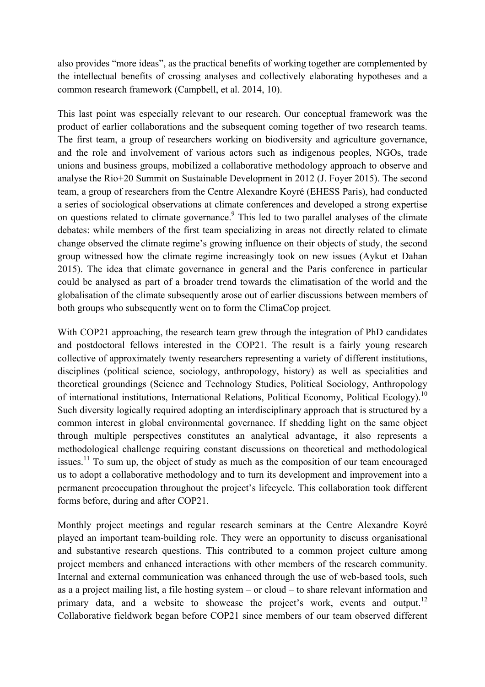also provides "more ideas", as the practical benefits of working together are complemented by the intellectual benefits of crossing analyses and collectively elaborating hypotheses and a common research framework (Campbell, et al. 2014, 10).

This last point was especially relevant to our research. Our conceptual framework was the product of earlier collaborations and the subsequent coming together of two research teams. The first team, a group of researchers working on biodiversity and agriculture governance, and the role and involvement of various actors such as indigenous peoples, NGOs, trade unions and business groups, mobilized a collaborative methodology approach to observe and analyse the Rio+20 Summit on Sustainable Development in 2012 (J. Foyer 2015). The second team, a group of researchers from the Centre Alexandre Koyré (EHESS Paris), had conducted a series of sociological observations at climate conferences and developed a strong expertise on questions related to climate governance.<sup>9</sup> This led to two parallel analyses of the climate debates: while members of the first team specializing in areas not directly related to climate change observed the climate regime's growing influence on their objects of study, the second group witnessed how the climate regime increasingly took on new issues (Aykut et Dahan 2015). The idea that climate governance in general and the Paris conference in particular could be analysed as part of a broader trend towards the climatisation of the world and the globalisation of the climate subsequently arose out of earlier discussions between members of both groups who subsequently went on to form the ClimaCop project.

With COP21 approaching, the research team grew through the integration of PhD candidates and postdoctoral fellows interested in the COP21. The result is a fairly young research collective of approximately twenty researchers representing a variety of different institutions, disciplines (political science, sociology, anthropology, history) as well as specialities and theoretical groundings (Science and Technology Studies, Political Sociology, Anthropology of international institutions, International Relations, Political Economy, Political Ecology).<sup>10</sup> Such diversity logically required adopting an interdisciplinary approach that is structured by a common interest in global environmental governance. If shedding light on the same object through multiple perspectives constitutes an analytical advantage, it also represents a methodological challenge requiring constant discussions on theoretical and methodological issues.<sup>11</sup> To sum up, the object of study as much as the composition of our team encouraged us to adopt a collaborative methodology and to turn its development and improvement into a permanent preoccupation throughout the project's lifecycle. This collaboration took different forms before, during and after COP21.

Monthly project meetings and regular research seminars at the Centre Alexandre Koyré played an important team-building role. They were an opportunity to discuss organisational and substantive research questions. This contributed to a common project culture among project members and enhanced interactions with other members of the research community. Internal and external communication was enhanced through the use of web-based tools, such as a a project mailing list, a file hosting system – or cloud – to share relevant information and primary data, and a website to showcase the project's work, events and output.<sup>12</sup> Collaborative fieldwork began before COP21 since members of our team observed different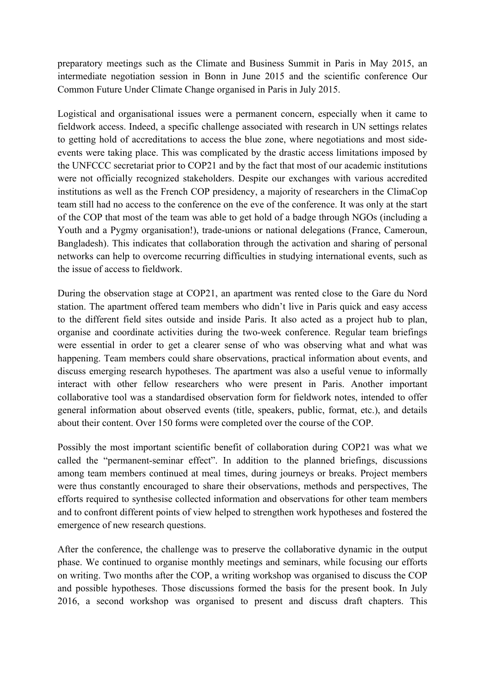preparatory meetings such as the Climate and Business Summit in Paris in May 2015, an intermediate negotiation session in Bonn in June 2015 and the scientific conference Our Common Future Under Climate Change organised in Paris in July 2015.

Logistical and organisational issues were a permanent concern, especially when it came to fieldwork access. Indeed, a specific challenge associated with research in UN settings relates to getting hold of accreditations to access the blue zone, where negotiations and most sideevents were taking place. This was complicated by the drastic access limitations imposed by the UNFCCC secretariat prior to COP21 and by the fact that most of our academic institutions were not officially recognized stakeholders. Despite our exchanges with various accredited institutions as well as the French COP presidency, a majority of researchers in the ClimaCop team still had no access to the conference on the eve of the conference. It was only at the start of the COP that most of the team was able to get hold of a badge through NGOs (including a Youth and a Pygmy organisation!), trade-unions or national delegations (France, Cameroun, Bangladesh). This indicates that collaboration through the activation and sharing of personal networks can help to overcome recurring difficulties in studying international events, such as the issue of access to fieldwork.

During the observation stage at COP21, an apartment was rented close to the Gare du Nord station. The apartment offered team members who didn't live in Paris quick and easy access to the different field sites outside and inside Paris. It also acted as a project hub to plan, organise and coordinate activities during the two-week conference. Regular team briefings were essential in order to get a clearer sense of who was observing what and what was happening. Team members could share observations, practical information about events, and discuss emerging research hypotheses. The apartment was also a useful venue to informally interact with other fellow researchers who were present in Paris. Another important collaborative tool was a standardised observation form for fieldwork notes, intended to offer general information about observed events (title, speakers, public, format, etc.), and details about their content. Over 150 forms were completed over the course of the COP.

Possibly the most important scientific benefit of collaboration during COP21 was what we called the "permanent-seminar effect". In addition to the planned briefings, discussions among team members continued at meal times, during journeys or breaks. Project members were thus constantly encouraged to share their observations, methods and perspectives, The efforts required to synthesise collected information and observations for other team members and to confront different points of view helped to strengthen work hypotheses and fostered the emergence of new research questions.

After the conference, the challenge was to preserve the collaborative dynamic in the output phase. We continued to organise monthly meetings and seminars, while focusing our efforts on writing. Two months after the COP, a writing workshop was organised to discuss the COP and possible hypotheses. Those discussions formed the basis for the present book. In July 2016, a second workshop was organised to present and discuss draft chapters. This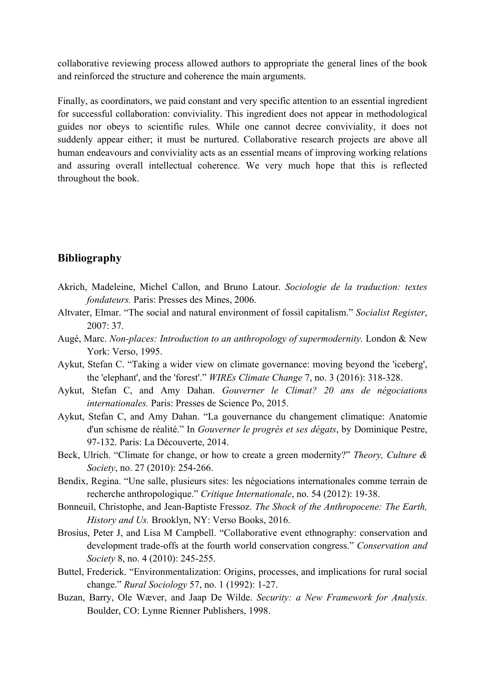collaborative reviewing process allowed authors to appropriate the general lines of the book and reinforced the structure and coherence the main arguments.

Finally, as coordinators, we paid constant and very specific attention to an essential ingredient for successful collaboration: conviviality. This ingredient does not appear in methodological guides nor obeys to scientific rules. While one cannot decree conviviality, it does not suddenly appear either; it must be nurtured. Collaborative research projects are above all human endeavours and conviviality acts as an essential means of improving working relations and assuring overall intellectual coherence. We very much hope that this is reflected throughout the book.

#### **Bibliography**

- Akrich, Madeleine, Michel Callon, and Bruno Latour. *Sociologie de la traduction: textes fondateurs.* Paris: Presses des Mines, 2006.
- Altvater, Elmar. "The social and natural environment of fossil capitalism." *Socialist Register*, 2007: 37.
- Augé, Marc. *Non-places: Introduction to an anthropology of supermodernity.* London & New York: Verso, 1995.
- Aykut, Stefan C. "Taking a wider view on climate governance: moving beyond the 'iceberg', the 'elephant', and the 'forest'." *WIREs Climate Change* 7, no. 3 (2016): 318-328.
- Aykut, Stefan C, and Amy Dahan. *Gouverner le Climat? 20 ans de négociations internationales.* Paris: Presses de Science Po, 2015.
- Aykut, Stefan C, and Amy Dahan. "La gouvernance du changement climatique: Anatomie d'un schisme de réalité." In *Gouverner le progrès et ses dégats*, by Dominique Pestre, 97-132. Paris: La Découverte, 2014.
- Beck, Ulrich. "Climate for change, or how to create a green modernity?" *Theory, Culture & Society*, no. 27 (2010): 254-266.
- Bendix, Regina. "Une salle, plusieurs sites: les négociations internationales comme terrain de recherche anthropologique." *Critique Internationale*, no. 54 (2012): 19-38.
- Bonneuil, Christophe, and Jean-Baptiste Fressoz. *The Shock of the Anthropocene: The Earth, History and Us.* Brooklyn, NY: Verso Books, 2016.
- Brosius, Peter J, and Lisa M Campbell. "Collaborative event ethnography: conservation and development trade-offs at the fourth world conservation congress." *Conservation and Society* 8, no. 4 (2010): 245-255.
- Buttel, Frederick. "Environmentalization: Origins, processes, and implications for rural social change." *Rural Sociology* 57, no. 1 (1992): 1-27.
- Buzan, Barry, Ole Wæver, and Jaap De Wilde. *Security: a New Framework for Analysis.* Boulder, CO: Lynne Rienner Publishers, 1998.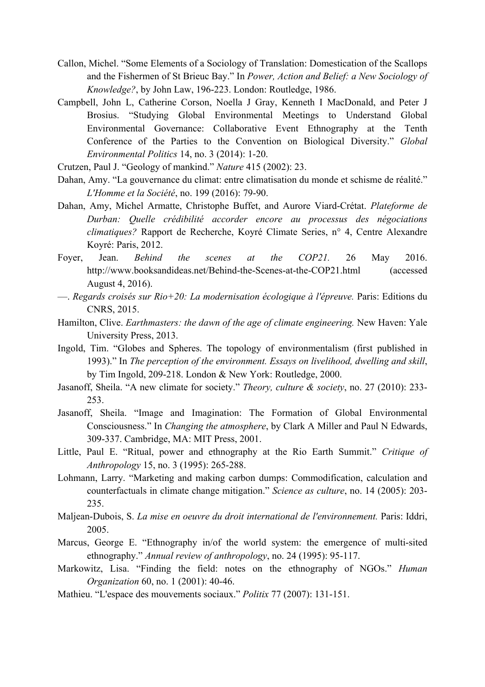- Callon, Michel. "Some Elements of a Sociology of Translation: Domestication of the Scallops and the Fishermen of St Brieuc Bay." In *Power, Action and Belief: a New Sociology of Knowledge?*, by John Law, 196-223. London: Routledge, 1986.
- Campbell, John L, Catherine Corson, Noella J Gray, Kenneth I MacDonald, and Peter J Brosius. "Studying Global Environmental Meetings to Understand Global Environmental Governance: Collaborative Event Ethnography at the Tenth Conference of the Parties to the Convention on Biological Diversity." *Global Environmental Politics* 14, no. 3 (2014): 1-20.
- Crutzen, Paul J. "Geology of mankind." *Nature* 415 (2002): 23.
- Dahan, Amy. "La gouvernance du climat: entre climatisation du monde et schisme de réalité." *L'Homme et la Société*, no. 199 (2016): 79-90.
- Dahan, Amy, Michel Armatte, Christophe Buffet, and Aurore Viard-Crétat. *Plateforme de Durban: Quelle crédibilité accorder encore au processus des négociations climatiques?* Rapport de Recherche, Koyré Climate Series, n° 4, Centre Alexandre Koyré: Paris, 2012.
- Foyer, Jean. *Behind the scenes at the COP21.* 26 May 2016. http://www.booksandideas.net/Behind-the-Scenes-at-the-COP21.html (accessed August 4, 2016).
- —. *Regards croisés sur Rio+20: La modernisation écologique à l'épreuve.* Paris: Editions du CNRS, 2015.
- Hamilton, Clive. *Earthmasters: the dawn of the age of climate engineering.* New Haven: Yale University Press, 2013.
- Ingold, Tim. "Globes and Spheres. The topology of environmentalism (first published in 1993)." In *The perception of the environment. Essays on livelihood, dwelling and skill*, by Tim Ingold, 209-218. London & New York: Routledge, 2000.
- Jasanoff, Sheila. "A new climate for society." *Theory, culture & society*, no. 27 (2010): 233- 253.
- Jasanoff, Sheila. "Image and Imagination: The Formation of Global Environmental Consciousness." In *Changing the atmosphere*, by Clark A Miller and Paul N Edwards, 309-337. Cambridge, MA: MIT Press, 2001.
- Little, Paul E. "Ritual, power and ethnography at the Rio Earth Summit." *Critique of Anthropology* 15, no. 3 (1995): 265-288.
- Lohmann, Larry. "Marketing and making carbon dumps: Commodification, calculation and counterfactuals in climate change mitigation." *Science as culture*, no. 14 (2005): 203- 235.
- Maljean-Dubois, S. *La mise en oeuvre du droit international de l'environnement.* Paris: Iddri, 2005.
- Marcus, George E. "Ethnography in/of the world system: the emergence of multi-sited ethnography." *Annual review of anthropology*, no. 24 (1995): 95-117.
- Markowitz, Lisa. "Finding the field: notes on the ethnography of NGOs." *Human Organization* 60, no. 1 (2001): 40-46.
- Mathieu. "L'espace des mouvements sociaux." *Politix* 77 (2007): 131-151.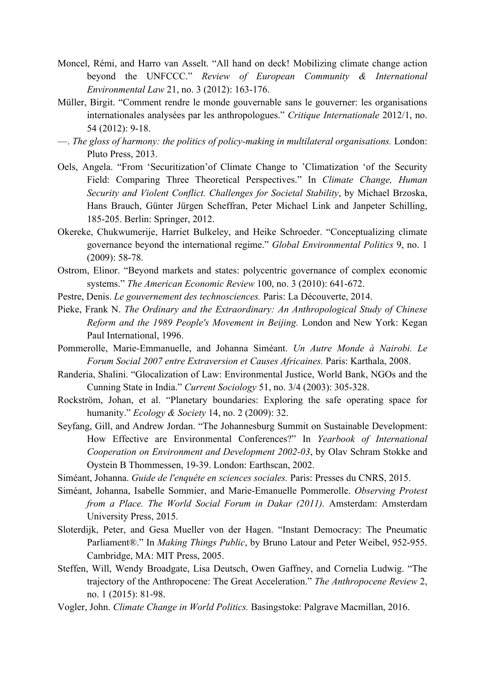- Moncel, Rémi, and Harro van Asselt. "All hand on deck! Mobilizing climate change action beyond the UNFCCC." *Review of European Community & International Environmental Law* 21, no. 3 (2012): 163-176.
- Müller, Birgit. "Comment rendre le monde gouvernable sans le gouverner: les organisations internationales analysées par les anthropologues." *Critique Internationale* 2012/1, no. 54 (2012): 9-18.
- —. *The gloss of harmony: the politics of policy-making in multilateral organisations.* London: Pluto Press, 2013.
- Oels, Angela. "From 'Securitization'of Climate Change to 'Climatization 'of the Security Field: Comparing Three Theoretical Perspectives." In *Climate Change, Human Security and Violent Conflict. Challenges for Societal Stability*, by Michael Brzoska, Hans Brauch, Günter Jürgen Scheffran, Peter Michael Link and Janpeter Schilling, 185-205. Berlin: Springer, 2012.
- Okereke, Chukwumerije, Harriet Bulkeley, and Heike Schroeder. "Conceptualizing climate governance beyond the international regime." *Global Environmental Politics* 9, no. 1 (2009): 58-78.
- Ostrom, Elinor. "Beyond markets and states: polycentric governance of complex economic systems." *The American Economic Review* 100, no. 3 (2010): 641-672.
- Pestre, Denis. *Le gouvernement des technosciences.* Paris: La Découverte, 2014.
- Pieke, Frank N. *The Ordinary and the Extraordinary: An Anthropological Study of Chinese Reform and the 1989 People's Movement in Beijing.* London and New York: Kegan Paul International, 1996.
- Pommerolle, Marie-Emmanuelle, and Johanna Siméant. *Un Autre Monde à Nairobi. Le Forum Social 2007 entre Extraversion et Causes Africaines.* Paris: Karthala, 2008.
- Randeria, Shalini. "Glocalization of Law: Environmental Justice, World Bank, NGOs and the Cunning State in India." *Current Sociology* 51, no. 3/4 (2003): 305-328.
- Rockström, Johan, et al. "Planetary boundaries: Exploring the safe operating space for humanity." *Ecology & Society* 14, no. 2 (2009): 32.
- Seyfang, Gill, and Andrew Jordan. "The Johannesburg Summit on Sustainable Development: How Effective are Environmental Conferences?" In *Yearbook of International Cooperation on Environment and Development 2002-03*, by Olav Schram Stokke and Oystein B Thommessen, 19-39. London: Earthscan, 2002.

Siméant, Johanna. *Guide de l'enquête en sciences sociales.* Paris: Presses du CNRS, 2015.

- Siméant, Johanna, Isabelle Sommier, and Marie-Emanuelle Pommerolle. *Observing Protest from a Place. The World Social Forum in Dakar (2011).* Amsterdam: Amsterdam University Press, 2015.
- Sloterdijk, Peter, and Gesa Mueller von der Hagen. "Instant Democracy: The Pneumatic Parliament®." In *Making Things Public*, by Bruno Latour and Peter Weibel, 952-955. Cambridge, MA: MIT Press, 2005.
- Steffen, Will, Wendy Broadgate, Lisa Deutsch, Owen Gaffney, and Cornelia Ludwig. "The trajectory of the Anthropocene: The Great Acceleration." *The Anthropocene Review* 2, no. 1 (2015): 81-98.
- Vogler, John. *Climate Change in World Politics.* Basingstoke: Palgrave Macmillan, 2016.